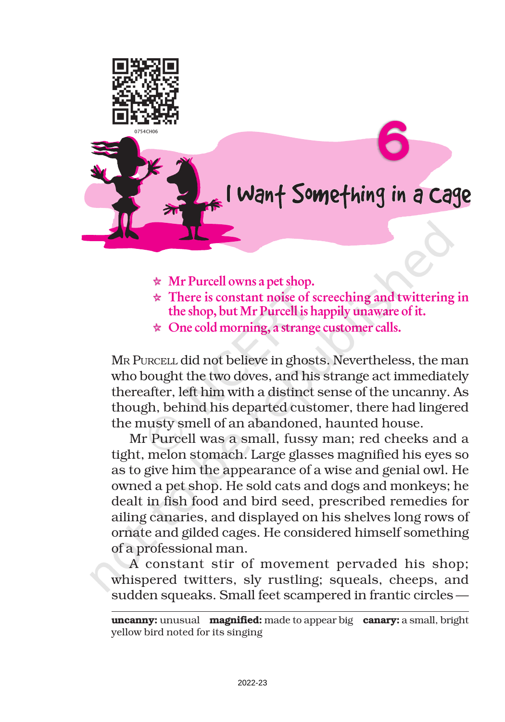

## I Want Something in a Cage

- $\star$  Mr Purcell owns a pet shop.
- $\star$  There is constant noise of screeching and twittering in the shop, but Mr Purcell is happily unaware of it.
- $\star$  One cold morning, a strange customer calls.

MR PURCELL did not believe in ghosts. Nevertheless, the man who bought the two doves, and his strange act immediately thereafter, left him with a distinct sense of the uncanny. As though, behind his departed customer, there had lingered the musty smell of an abandoned, haunted house.

Mr Purcell was a small, fussy man; red cheeks and a tight, melon stomach. Large glasses magnified his eyes so as to give him the appearance of a wise and genial owl. He owned a pet shop. He sold cats and dogs and monkeys; he dealt in fish food and bird seed, prescribed remedies for ailing canaries, and displayed on his shelves long rows of ornate and gilded cages. He considered himself something of a professional man.

A constant stir of movement pervaded his shop; whispered twitters, sly rustling; squeals, cheeps, and sudden squeaks. Small feet scampered in frantic circles —

uncanny: unusual magnified: made to appear big canary: a small, bright yellow bird noted for its singing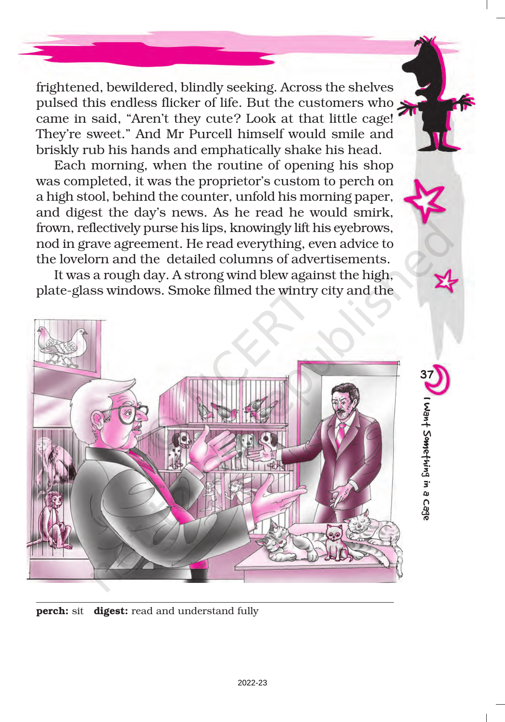frightened, bewildered, blindly seeking. Across the shelves pulsed this endless flicker of life. But the customers who came in said, "Aren't they cute? Look at that little cage! They're sweet." And Mr Purcell himself would smile and briskly rub his hands and emphatically shake his head.

Each morning, when the routine of opening his shop was completed, it was the proprietor's custom to perch on a high stool, behind the counter, unfold his morning paper, and digest the day's news. As he read he would smirk, frown, reflectively purse his lips, knowingly lift his eyebrows, nod in grave agreement. He read everything, even advice to the lovelorn and the detailed columns of advertisements.

It was a rough day. A strong wind blew against the high, plate-glass windows. Smoke filmed the wintry city and the



perch: sit digest: read and understand fully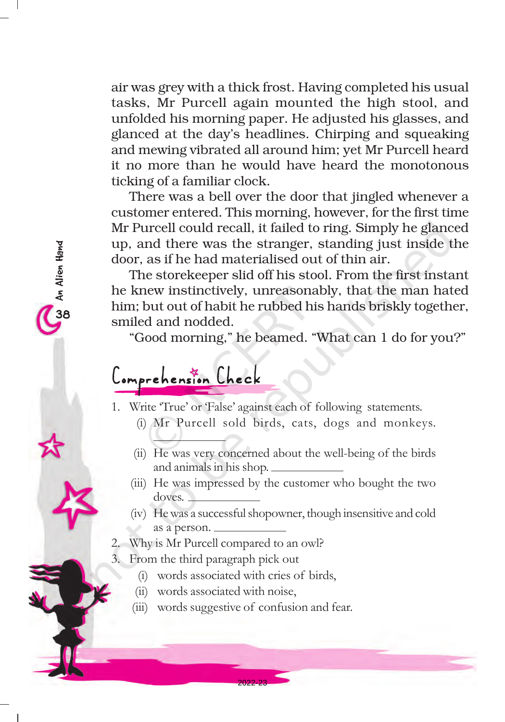air was grey with a thick frost. Having completed his usual tasks, Mr Purcell again mounted the high stool, and unfolded his morning paper. He adjusted his glasses, and glanced at the day's headlines. Chirping and squeaking and mewing vibrated all around him; yet Mr Purcell heard it no more than he would have heard the monotonous ticking of a familiar clock.

There was a bell over the door that jingled whenever a customer entered. This morning, however, for the first time Mr Purcell could recall, it failed to ring. Simply he glanced up, and there was the stranger, standing just inside the door, as if he had materialised out of thin air.

The storekeeper slid off his stool. From the first instant he knew instinctively, unreasonably, that the man hated him; but out of habit he rubbed his hands briskly together, smiled and nodded.

"Good morning," he beamed. "What can 1 do for you?"

## Comprehension Check

38An Alien Hand

o An Alien Hand

1. Write 'True' or 'False' against each of following statements.

- (i) Mr Purcell sold birds, cats, dogs and monkeys.
- (ii) He was very concerned about the well-being of the birds and animals in his shop.
- (iii) He was impressed by the customer who bought the two doves.
- (iv) He was a successful shopowner, though insensitive and cold as a person.
- 2. Why is Mr Purcell compared to an owl?
- 3. From the third paragraph pick out
	- (i) words associated with cries of birds,
	- (ii) words associated with noise,
	- (iii) words suggestive of confusion and fear.

2022-23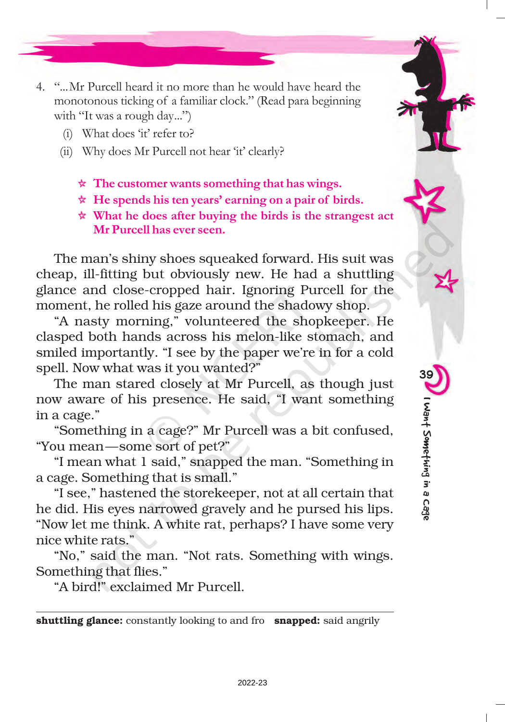- 4. "...Mr Purcell heard it no more than he would have heard the monotonous ticking of a familiar clock." (Read para beginning with "It was a rough day...")
	- (i) What does 'it' refer to?
	- (ii) Why does Mr Purcell not hear 'it' clearly?
		- $\star$  The customer wants something that has wings.
		- $\star$  He spends his ten years' earning on a pair of birds.
		- $\star$  What he does after buying the birds is the strangest act Mr Purcell has ever seen.

The man's shiny shoes squeaked forward. His suit was cheap, ill-fitting but obviously new. He had a shuttling glance and close-cropped hair. Ignoring Purcell for the moment, he rolled his gaze around the shadowy shop.

"A nasty morning," volunteered the shopkeeper. He clasped both hands across his melon-like stomach, and smiled importantly. "I see by the paper we're in for a cold spell. Now what was it you wanted?"

The man stared closely at Mr Purcell, as though just now aware of his presence. He said, "I want something in a cage."

"Something in a cage?" Mr Purcell was a bit confused, "You mean—some sort of pet?"

"I mean what 1 said," snapped the man. "Something in a cage. Something that is small."

"I see," hastened the storekeeper, not at all certain that he did. His eyes narrowed gravely and he pursed his lips. "Now let me think. A white rat, perhaps? I have some very nice white rats."

"No," said the man. "Not rats. Something with wings. Something that flies."

"A bird!" exclaimed Mr Purcell.

shuttling glance: constantly looking to and fro snapped: said angrily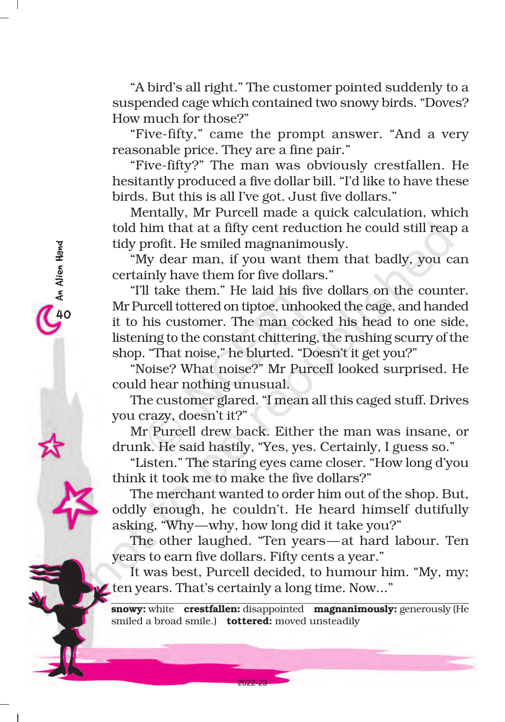"A bird's all right." The customer pointed suddenly to a suspended cage which contained two snowy birds. "Doves? How much for those?"

"Five-fifty," came the prompt answer. "And a very reasonable price. They are a fine pair."

"Five-fifty?" The man was obviously crestfallen. He hesitantly produced a five dollar bill. "I'd like to have these birds. But this is all I've got. Just five dollars."

Mentally, Mr Purcell made a quick calculation, which told him that at a fifty cent reduction he could still reap a tidy profit. He smiled magnanimously.

"My dear man, if you want them that badly, you can certainly have them for five dollars."

"I'll take them." He laid his five dollars on the counter. Mr Purcell tottered on tiptoe, unhooked the cage, and handed it to his customer. The man cocked his head to one side, listening to the constant chittering, the rushing scurry of the shop. "That noise," he blurted. "Doesn't it get you?"

"Noise? What noise?" Mr Purcell looked surprised. He could hear nothing unusual.

The customer glared. "I mean all this caged stuff. Drives you crazy, doesn't it?"

Mr Purcell drew back. Either the man was insane, or drunk. He said hastily, "Yes, yes. Certainly, I guess so."

"Listen." The staring eyes came closer. "How long d'you think it took me to make the five dollars?"

The merchant wanted to order him out of the shop. But, oddly enough, he couldn't. He heard himself dutifully asking, "Why—why, how long did it take you?"

The other laughed. "Ten years—at hard labour. Ten years to earn five dollars. Fifty cents a year."

It was best, Purcell decided, to humour him. "My, my; ten years. That's certainly a long time. Now..."

snowy: white crestfallen: disappointed magnanimously: generously (He smiled a broad smile.) tottered: moved unsteadily

2022-23

40An Alien Hand

40<br>An Alien Hand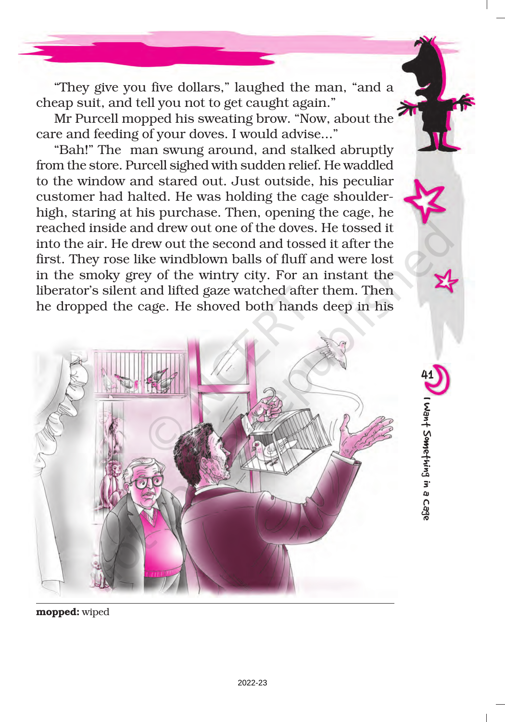"They give you five dollars," laughed the man, "and a cheap suit, and tell you not to get caught again."

Mr Purcell mopped his sweating brow. "Now, about the care and feeding of your doves. I would advise..."

"Bah!" The man swung around, and stalked abruptly from the store. Purcell sighed with sudden relief. He waddled to the window and stared out. Just outside, his peculiar customer had halted. He was holding the cage shoulderhigh, staring at his purchase. Then, opening the cage, he reached inside and drew out one of the doves. He tossed it into the air. He drew out the second and tossed it after the first. They rose like windblown balls of fluff and were lost in the smoky grey of the wintry city. For an instant the liberator's silent and lifted gaze watched after them. Then he dropped the cage. He shoved both hands deep in his



41

I Want Something in a Cage

I Want Something in a Cage

mopped: wiped